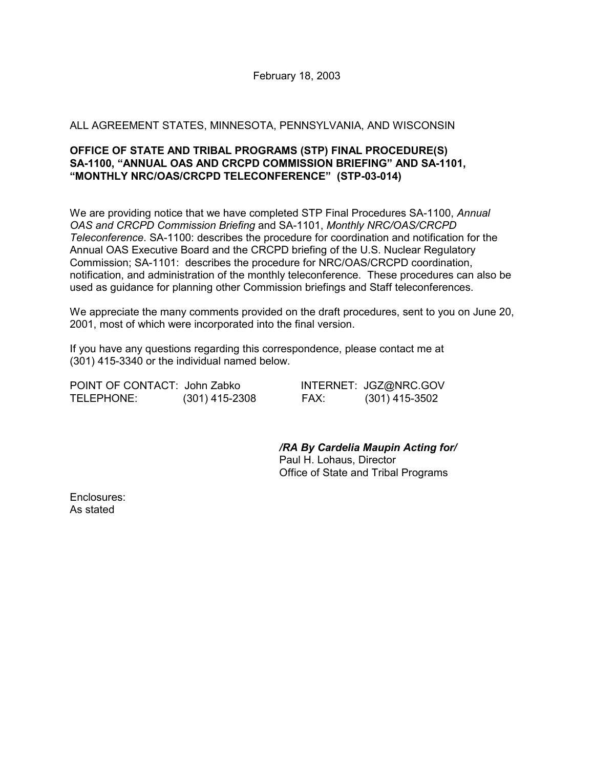#### ALL AGREEMENT STATES, MINNESOTA, PENNSYLVANIA, AND WISCONSIN

#### **OFFICE OF STATE AND TRIBAL PROGRAMS (STP) FINAL PROCEDURE(S) SA-1100, "ANNUAL OAS AND CRCPD COMMISSION BRIEFING" AND SA-1101, "MONTHLY NRC/OAS/CRCPD TELECONFERENCE" (STP-03-014)**

We are providing notice that we have completed STP Final Procedures SA-1100, *Annual OAS and CRCPD Commission Briefing* and SA-1101, *Monthly NRC/OAS/CRCPD Teleconference*. SA-1100: describes the procedure for coordination and notification for the Annual OAS Executive Board and the CRCPD briefing of the U.S. Nuclear Regulatory Commission; SA-1101: describes the procedure for NRC/OAS/CRCPD coordination, notification, and administration of the monthly teleconference. These procedures can also be used as guidance for planning other Commission briefings and Staff teleconferences.

We appreciate the many comments provided on the draft procedures, sent to you on June 20, 2001, most of which were incorporated into the final version.

If you have any questions regarding this correspondence, please contact me at (301) 415-3340 or the individual named below.

POINT OF CONTACT: John Zabko INTERNET: JGZ@NRC.GOV TELEPHONE: (301) 415-2308 FAX: (301) 415-3502

*/RA By Cardelia Maupin Acting for/* Paul H. Lohaus, Director Office of State and Tribal Programs

Enclosures: As stated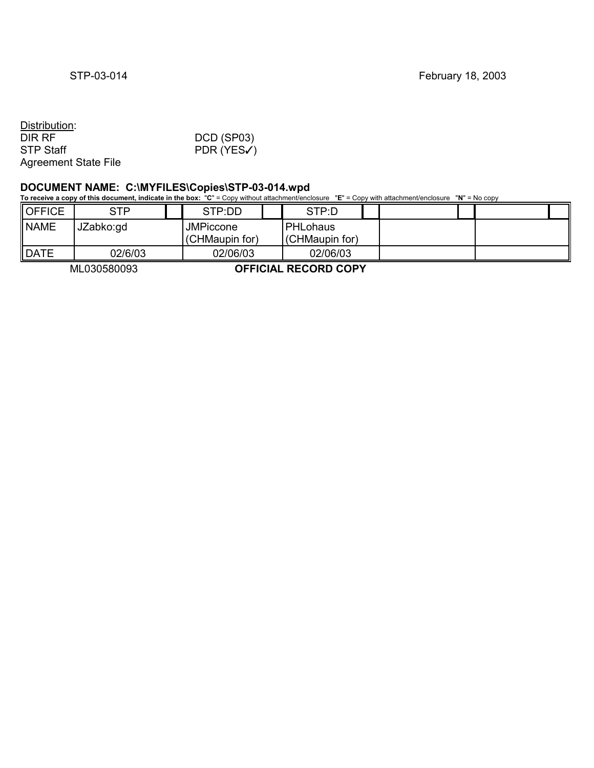#### Distribution:<br>DIR RF DIR RF DCD (SP03)<br>STP Staff PDR (YES  $PDR (YESV)$ Agreement State File

#### **DOCUMENT NAME: C:\MYFILES\Copies\STP-03-014.wpd**

**To receive a copy of this document, indicate in the box:** "**C**" = Copy without attachment/enclosure "**E**" = Copy with attachment/enclosure "**N**" = No copy

| OFFICE | <b>STP</b> | STP:DD                             | STP:D                      |  |  |
|--------|------------|------------------------------------|----------------------------|--|--|
| NAME   | JZabko:gd  | <b>JMPiccone</b><br>(CHMaupin for) | PHLohaus<br>(CHMaupin for) |  |  |
| DATE   | 02/6/03    | 02/06/03                           | 02/06/03                   |  |  |

ML030580093 **OFFICIAL RECORD COPY**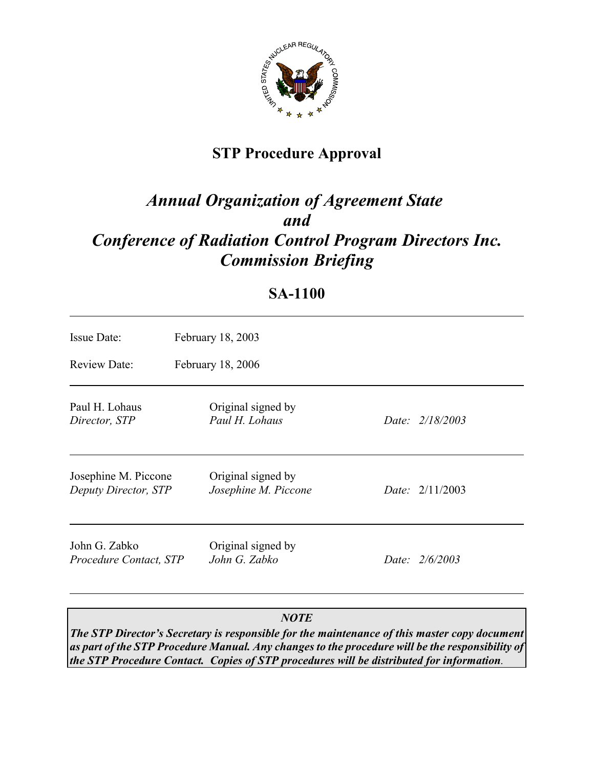

# **STP Procedure Approval**

# *Annual Organization of Agreement State and Conference of Radiation Control Program Directors Inc. Commission Briefing*

## **SA-1100**

| Issue Date:                                  | February 18, 2003                          |  |                          |  |  |
|----------------------------------------------|--------------------------------------------|--|--------------------------|--|--|
| <b>Review Date:</b>                          | February 18, 2006                          |  |                          |  |  |
| Paul H. Lohaus<br>Director, STP              | Original signed by<br>Paul H. Lohaus       |  | Date: 2/18/2003          |  |  |
| Josephine M. Piccone<br>Deputy Director, STP | Original signed by<br>Josephine M. Piccone |  | <i>Date:</i> $2/11/2003$ |  |  |
| John G. Zabko<br>Procedure Contact, STP      | Original signed by<br>John G. Zabko        |  | Date: 2/6/2003           |  |  |

### *NOTE*

*The STP Director's Secretary is responsible for the maintenance of this master copy document as part of the STP Procedure Manual. Any changes to the procedure will be the responsibility of the STP Procedure Contact. Copies of STP procedures will be distributed for information.*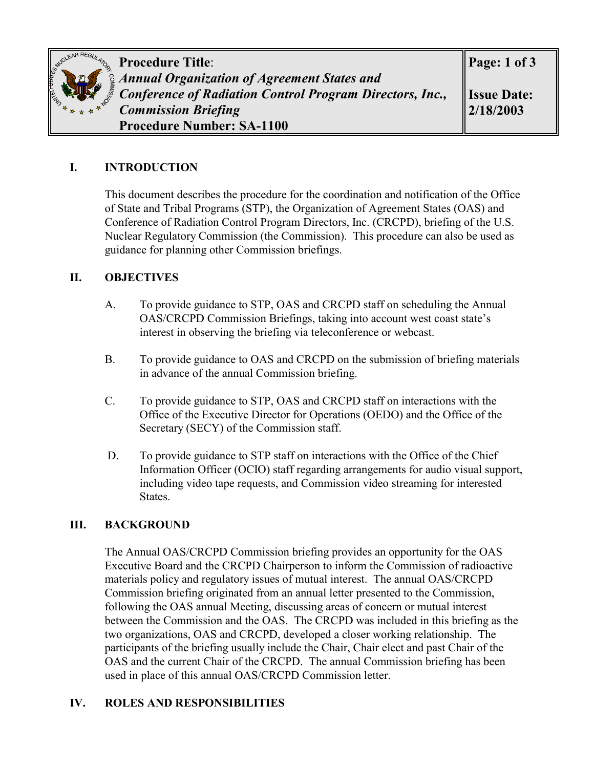

**Procedure Title**: *Annual Organization of Agreement States and Conference of Radiation Control Program Directors, Inc., Commission Briefing* **Procedure Number: SA-1100**

#### **I. INTRODUCTION**

This document describes the procedure for the coordination and notification of the Office of State and Tribal Programs (STP), the Organization of Agreement States (OAS) and Conference of Radiation Control Program Directors, Inc. (CRCPD), briefing of the U.S. Nuclear Regulatory Commission (the Commission). This procedure can also be used as guidance for planning other Commission briefings.

#### **II. OBJECTIVES**

- A. To provide guidance to STP, OAS and CRCPD staff on scheduling the Annual OAS/CRCPD Commission Briefings, taking into account west coast state's interest in observing the briefing via teleconference or webcast.
- B. To provide guidance to OAS and CRCPD on the submission of briefing materials in advance of the annual Commission briefing.
- C. To provide guidance to STP, OAS and CRCPD staff on interactions with the Office of the Executive Director for Operations (OEDO) and the Office of the Secretary (SECY) of the Commission staff.
- D. To provide guidance to STP staff on interactions with the Office of the Chief Information Officer (OCIO) staff regarding arrangements for audio visual support, including video tape requests, and Commission video streaming for interested States.

#### **III. BACKGROUND**

The Annual OAS/CRCPD Commission briefing provides an opportunity for the OAS Executive Board and the CRCPD Chairperson to inform the Commission of radioactive materials policy and regulatory issues of mutual interest. The annual OAS/CRCPD Commission briefing originated from an annual letter presented to the Commission, following the OAS annual Meeting, discussing areas of concern or mutual interest between the Commission and the OAS. The CRCPD was included in this briefing as the two organizations, OAS and CRCPD, developed a closer working relationship. The participants of the briefing usually include the Chair, Chair elect and past Chair of the OAS and the current Chair of the CRCPD. The annual Commission briefing has been used in place of this annual OAS/CRCPD Commission letter.

#### **IV. ROLES AND RESPONSIBILITIES**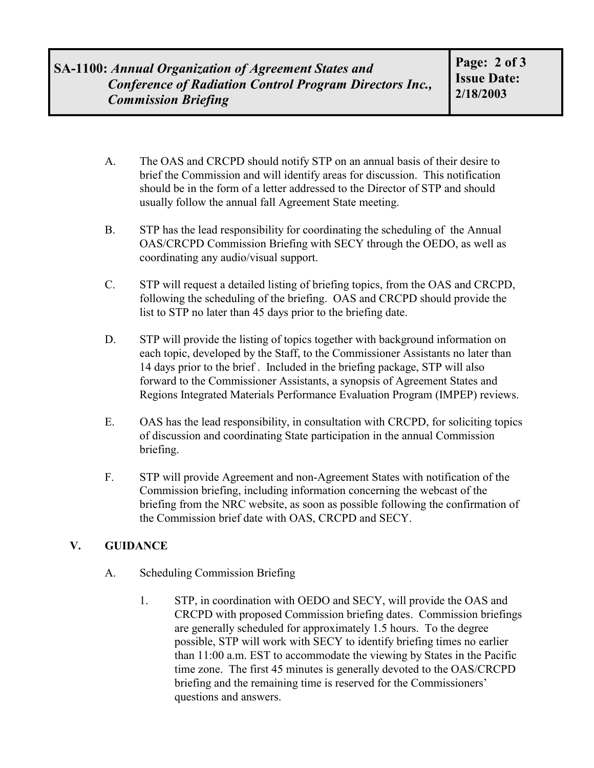- A. The OAS and CRCPD should notify STP on an annual basis of their desire to brief the Commission and will identify areas for discussion. This notification should be in the form of a letter addressed to the Director of STP and should usually follow the annual fall Agreement State meeting.
- B. STP has the lead responsibility for coordinating the scheduling of the Annual OAS/CRCPD Commission Briefing with SECY through the OEDO, as well as coordinating any audio/visual support.
- C. STP will request a detailed listing of briefing topics, from the OAS and CRCPD, following the scheduling of the briefing. OAS and CRCPD should provide the list to STP no later than 45 days prior to the briefing date.
- D. STP will provide the listing of topics together with background information on each topic, developed by the Staff, to the Commissioner Assistants no later than 14 days prior to the brief . Included in the briefing package, STP will also forward to the Commissioner Assistants, a synopsis of Agreement States and Regions Integrated Materials Performance Evaluation Program (IMPEP) reviews.
- E. OAS has the lead responsibility, in consultation with CRCPD, for soliciting topics of discussion and coordinating State participation in the annual Commission briefing.
- F. STP will provide Agreement and non-Agreement States with notification of the Commission briefing, including information concerning the webcast of the briefing from the NRC website, as soon as possible following the confirmation of the Commission brief date with OAS, CRCPD and SECY.

### **V. GUIDANCE**

- A. Scheduling Commission Briefing
	- 1. STP, in coordination with OEDO and SECY, will provide the OAS and CRCPD with proposed Commission briefing dates. Commission briefings are generally scheduled for approximately 1.5 hours. To the degree possible, STP will work with SECY to identify briefing times no earlier than 11:00 a.m. EST to accommodate the viewing by States in the Pacific time zone. The first 45 minutes is generally devoted to the OAS/CRCPD briefing and the remaining time is reserved for the Commissioners' questions and answers.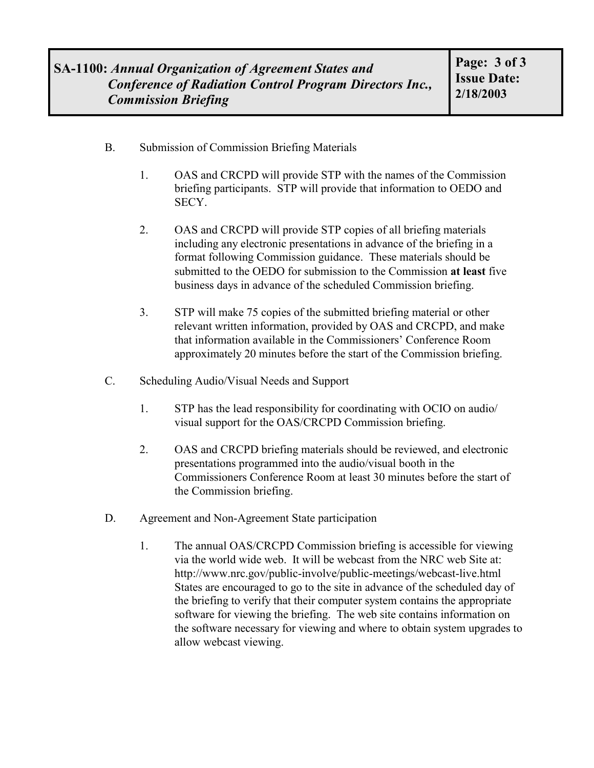- B. Submission of Commission Briefing Materials
	- 1. OAS and CRCPD will provide STP with the names of the Commission briefing participants. STP will provide that information to OEDO and SECY.
	- 2. OAS and CRCPD will provide STP copies of all briefing materials including any electronic presentations in advance of the briefing in a format following Commission guidance. These materials should be submitted to the OEDO for submission to the Commission **at least** five business days in advance of the scheduled Commission briefing.
	- 3. STP will make 75 copies of the submitted briefing material or other relevant written information, provided by OAS and CRCPD, and make that information available in the Commissioners' Conference Room approximately 20 minutes before the start of the Commission briefing.
- C. Scheduling Audio/Visual Needs and Support
	- 1. STP has the lead responsibility for coordinating with OCIO on audio/ visual support for the OAS/CRCPD Commission briefing.
	- 2. OAS and CRCPD briefing materials should be reviewed, and electronic presentations programmed into the audio/visual booth in the Commissioners Conference Room at least 30 minutes before the start of the Commission briefing.
- D. Agreement and Non-Agreement State participation
	- 1. The annual OAS/CRCPD Commission briefing is accessible for viewing via the world wide web. It will be webcast from the NRC web Site at: http://www.nrc.gov/public-involve/public-meetings/webcast-live.html States are encouraged to go to the site in advance of the scheduled day of the briefing to verify that their computer system contains the appropriate software for viewing the briefing. The web site contains information on the software necessary for viewing and where to obtain system upgrades to allow webcast viewing.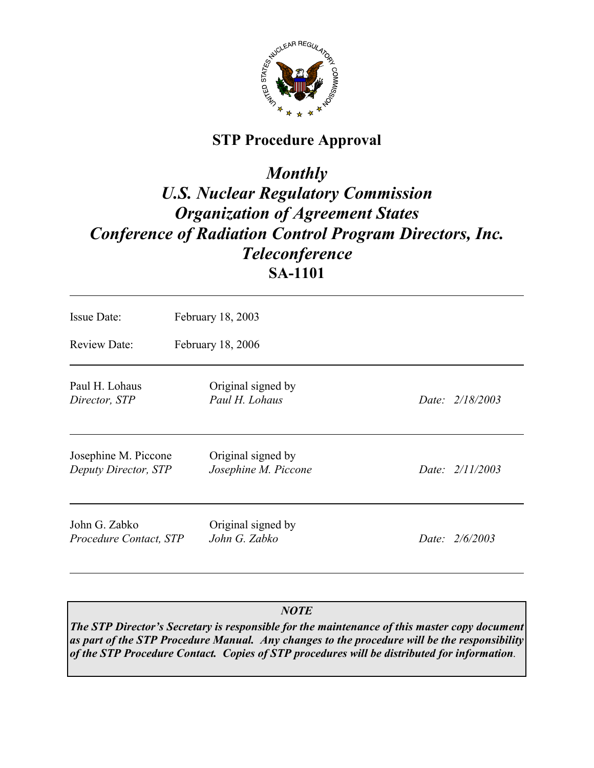

## **STP Procedure Approval**

# *Monthly U.S. Nuclear Regulatory Commission Organization of Agreement States Conference of Radiation Control Program Directors, Inc. Teleconference* **SA-1101**

| Issue Date:                                  | February 18, 2003                          |                 |  |  |  |  |
|----------------------------------------------|--------------------------------------------|-----------------|--|--|--|--|
| <b>Review Date:</b>                          | February 18, 2006                          |                 |  |  |  |  |
| Paul H. Lohaus<br>Director, STP              | Original signed by<br>Paul H. Lohaus       | Date: 2/18/2003 |  |  |  |  |
| Josephine M. Piccone<br>Deputy Director, STP | Original signed by<br>Josephine M. Piccone | Date: 2/11/2003 |  |  |  |  |
| John G. Zabko<br>Procedure Contact, STP      | Original signed by<br>John G. Zabko        | Date: 2/6/2003  |  |  |  |  |

## *NOTE*

*The STP Director's Secretary is responsible for the maintenance of this master copy document as part of the STP Procedure Manual. Any changes to the procedure will be the responsibility of the STP Procedure Contact. Copies of STP procedures will be distributed for information.*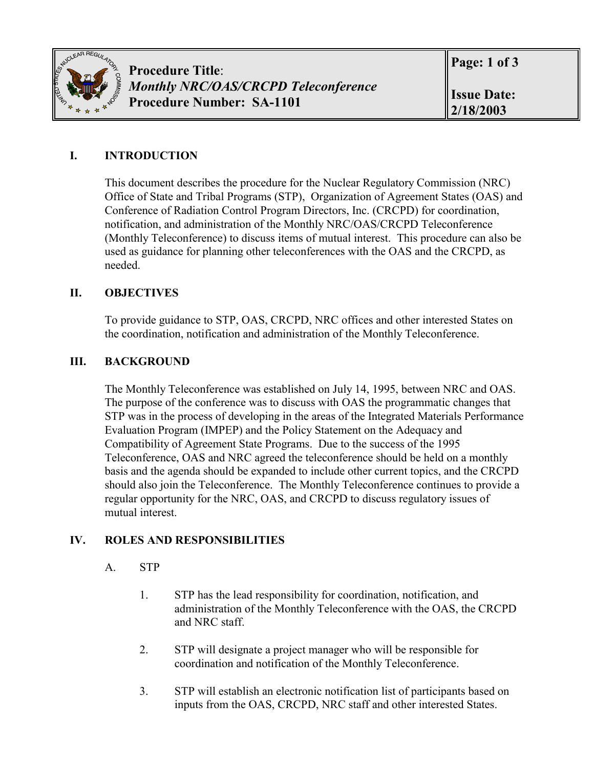

## **I. INTRODUCTION**

This document describes the procedure for the Nuclear Regulatory Commission (NRC) Office of State and Tribal Programs (STP), Organization of Agreement States (OAS) and Conference of Radiation Control Program Directors, Inc. (CRCPD) for coordination, notification, and administration of the Monthly NRC/OAS/CRCPD Teleconference (Monthly Teleconference) to discuss items of mutual interest. This procedure can also be used as guidance for planning other teleconferences with the OAS and the CRCPD, as needed.

### **II. OBJECTIVES**

To provide guidance to STP, OAS, CRCPD, NRC offices and other interested States on the coordination, notification and administration of the Monthly Teleconference.

### **III. BACKGROUND**

The Monthly Teleconference was established on July 14, 1995, between NRC and OAS. The purpose of the conference was to discuss with OAS the programmatic changes that STP was in the process of developing in the areas of the Integrated Materials Performance Evaluation Program (IMPEP) and the Policy Statement on the Adequacy and Compatibility of Agreement State Programs. Due to the success of the 1995 Teleconference, OAS and NRC agreed the teleconference should be held on a monthly basis and the agenda should be expanded to include other current topics, and the CRCPD should also join the Teleconference. The Monthly Teleconference continues to provide a regular opportunity for the NRC, OAS, and CRCPD to discuss regulatory issues of mutual interest.

### **IV. ROLES AND RESPONSIBILITIES**

### A. STP

- 1. STP has the lead responsibility for coordination, notification, and administration of the Monthly Teleconference with the OAS, the CRCPD and NRC staff.
- 2. STP will designate a project manager who will be responsible for coordination and notification of the Monthly Teleconference.
- 3. STP will establish an electronic notification list of participants based on inputs from the OAS, CRCPD, NRC staff and other interested States.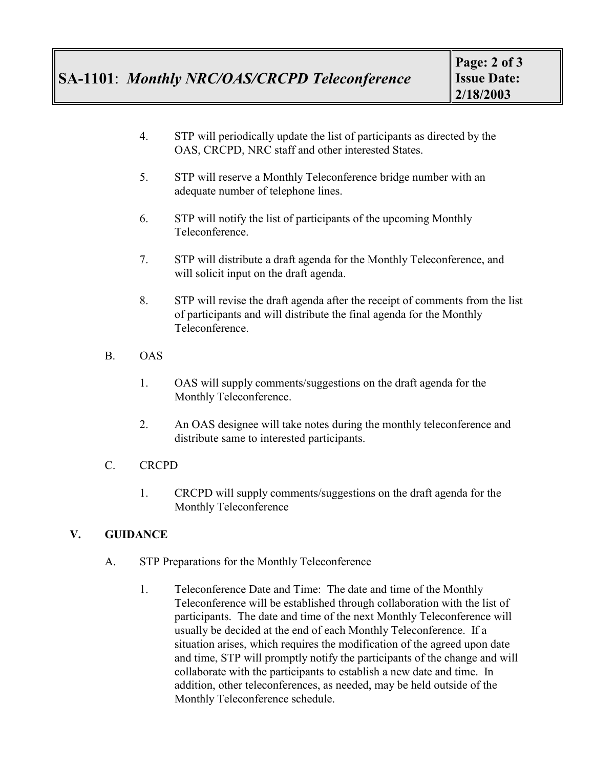- 4. STP will periodically update the list of participants as directed by the OAS, CRCPD, NRC staff and other interested States.
- 5. STP will reserve a Monthly Teleconference bridge number with an adequate number of telephone lines.
- 6. STP will notify the list of participants of the upcoming Monthly Teleconference.
- 7. STP will distribute a draft agenda for the Monthly Teleconference, and will solicit input on the draft agenda.
- 8. STP will revise the draft agenda after the receipt of comments from the list of participants and will distribute the final agenda for the Monthly Teleconference.
- B. OAS
	- 1. OAS will supply comments/suggestions on the draft agenda for the Monthly Teleconference.
	- 2. An OAS designee will take notes during the monthly teleconference and distribute same to interested participants.
- C. CRCPD
	- 1. CRCPD will supply comments/suggestions on the draft agenda for the Monthly Teleconference

### **V. GUIDANCE**

- A. STP Preparations for the Monthly Teleconference
	- 1. Teleconference Date and Time: The date and time of the Monthly Teleconference will be established through collaboration with the list of participants. The date and time of the next Monthly Teleconference will usually be decided at the end of each Monthly Teleconference. If a situation arises, which requires the modification of the agreed upon date and time, STP will promptly notify the participants of the change and will collaborate with the participants to establish a new date and time. In addition, other teleconferences, as needed, may be held outside of the Monthly Teleconference schedule.